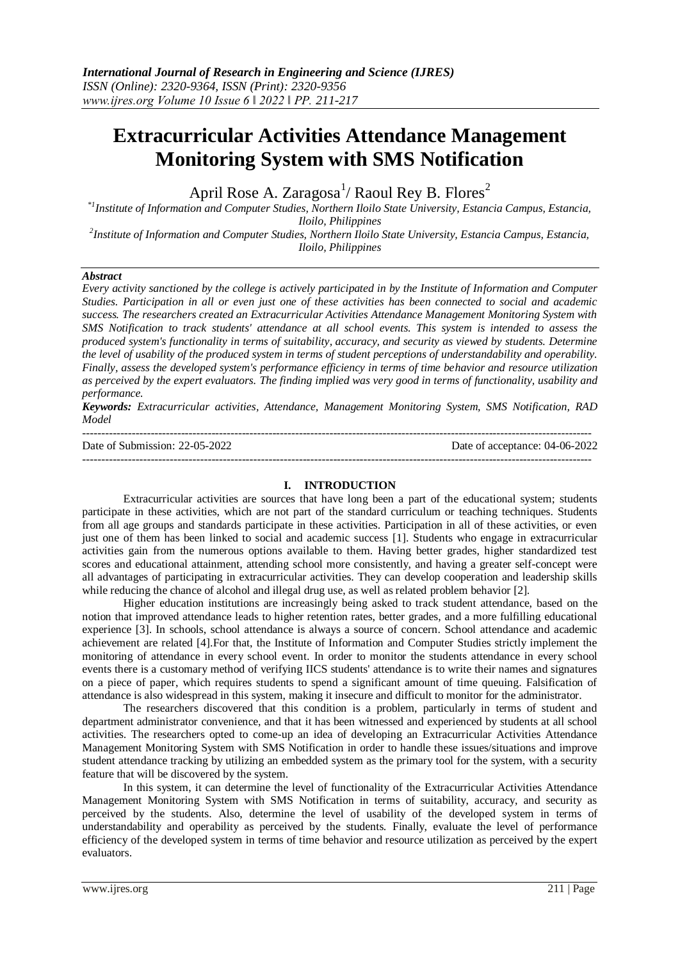# **Extracurricular Activities Attendance Management Monitoring System with SMS Notification**

April Rose A. Zaragosa $^{\rm l}$ / Raoul Rey B. Flores $^{\rm 2}$ 

*\*1Institute of Information and Computer Studies, Northern Iloilo State University, Estancia Campus, Estancia, Iloilo, Philippines*

*2 Institute of Information and Computer Studies, Northern Iloilo State University, Estancia Campus, Estancia, Iloilo, Philippines*

## *Abstract*

*Every activity sanctioned by the college is actively participated in by the Institute of Information and Computer Studies. Participation in all or even just one of these activities has been connected to social and academic success. The researchers created an Extracurricular Activities Attendance Management Monitoring System with SMS Notification to track students' attendance at all school events. This system is intended to assess the produced system's functionality in terms of suitability, accuracy, and security as viewed by students. Determine the level of usability of the produced system in terms of student perceptions of understandability and operability. Finally, assess the developed system's performance efficiency in terms of time behavior and resource utilization as perceived by the expert evaluators. The finding implied was very good in terms of functionality, usability and performance.*

*Keywords: Extracurricular activities, Attendance, Management Monitoring System, SMS Notification, RAD Model*

-------------------------------------------------------------------------------------------------------------------------------------- Date of Submission: 22-05-2022 Date of acceptance: 04-06-2022

--------------------------------------------------------------------------------------------------------------------------------------

#### **I. INTRODUCTION**

Extracurricular activities are sources that have long been a part of the educational system; students participate in these activities, which are not part of the standard curriculum or teaching techniques. Students from all age groups and standards participate in these activities. Participation in all of these activities, or even just one of them has been linked to social and academic success [1]. Students who engage in extracurricular activities gain from the numerous options available to them. Having better grades, higher standardized test scores and educational attainment, attending school more consistently, and having a greater self-concept were all advantages of participating in extracurricular activities. They can develop cooperation and leadership skills while reducing the chance of alcohol and illegal drug use, as well as related problem behavior [2].

Higher education institutions are increasingly being asked to track student attendance, based on the notion that improved attendance leads to higher retention rates, better grades, and a more fulfilling educational experience [3]. In schools, school attendance is always a source of concern. School attendance and academic achievement are related [4].For that, the Institute of Information and Computer Studies strictly implement the monitoring of attendance in every school event. In order to monitor the students attendance in every school events there is a customary method of verifying IICS students' attendance is to write their names and signatures on a piece of paper, which requires students to spend a significant amount of time queuing. Falsification of attendance is also widespread in this system, making it insecure and difficult to monitor for the administrator.

The researchers discovered that this condition is a problem, particularly in terms of student and department administrator convenience, and that it has been witnessed and experienced by students at all school activities. The researchers opted to come-up an idea of developing an Extracurricular Activities Attendance Management Monitoring System with SMS Notification in order to handle these issues/situations and improve student attendance tracking by utilizing an embedded system as the primary tool for the system, with a security feature that will be discovered by the system.

In this system, it can determine the level of functionality of the Extracurricular Activities Attendance Management Monitoring System with SMS Notification in terms of suitability, accuracy, and security as perceived by the students. Also, determine the level of usability of the developed system in terms of understandability and operability as perceived by the students. Finally, evaluate the level of performance efficiency of the developed system in terms of time behavior and resource utilization as perceived by the expert evaluators.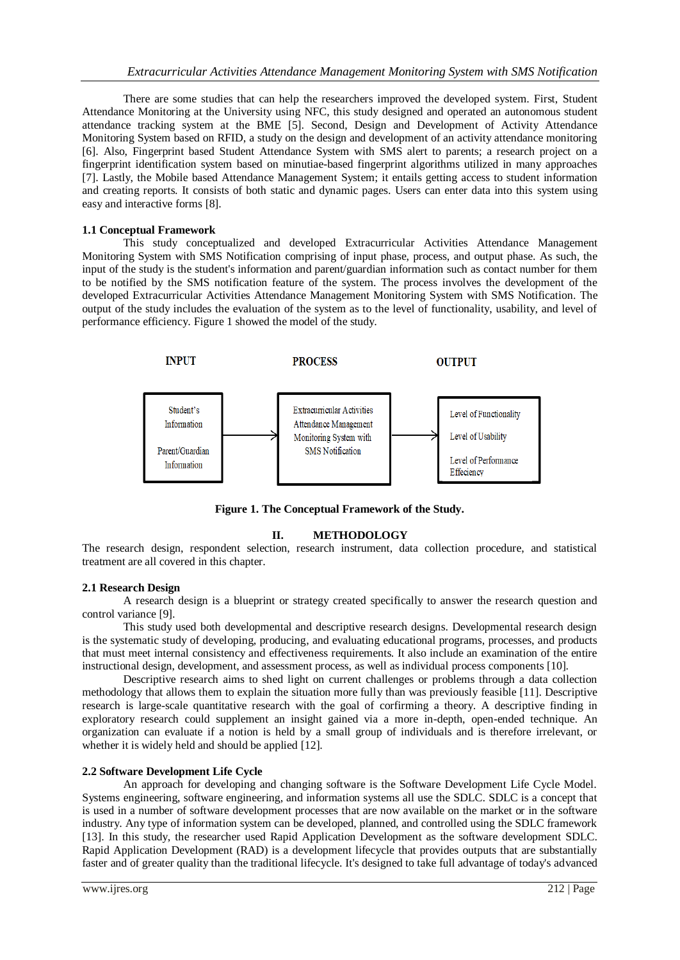There are some studies that can help the researchers improved the developed system. First, Student Attendance Monitoring at the University using NFC, this study designed and operated an autonomous student attendance tracking system at the BME [5]. Second, Design and Development of Activity Attendance Monitoring System based on RFID, a study on the design and development of an activity attendance monitoring [6]. Also, Fingerprint based Student Attendance System with SMS alert to parents; a research project on a fingerprint identification system based on minutiae-based fingerprint algorithms utilized in many approaches [7]. Lastly, the Mobile based Attendance Management System; it entails getting access to student information and creating reports. It consists of both static and dynamic pages. Users can enter data into this system using easy and interactive forms [8].

### **1.1 Conceptual Framework**

This study conceptualized and developed Extracurricular Activities Attendance Management Monitoring System with SMS Notification comprising of input phase, process, and output phase. As such, the input of the study is the student's information and parent/guardian information such as contact number for them to be notified by the SMS notification feature of the system. The process involves the development of the developed Extracurricular Activities Attendance Management Monitoring System with SMS Notification. The output of the study includes the evaluation of the system as to the level of functionality, usability, and level of performance efficiency. Figure 1 showed the model of the study.



**Figure 1. The Conceptual Framework of the Study.**

## **II. METHODOLOGY**

The research design, respondent selection, research instrument, data collection procedure, and statistical treatment are all covered in this chapter.

## **2.1 Research Design**

A research design is a blueprint or strategy created specifically to answer the research question and control variance [9].

This study used both developmental and descriptive research designs. Developmental research design is the systematic study of developing, producing, and evaluating educational programs, processes, and products that must meet internal consistency and effectiveness requirements. It also include an examination of the entire instructional design, development, and assessment process, as well as individual process components [10].

Descriptive research aims to shed light on current challenges or problems through a data collection methodology that allows them to explain the situation more fully than was previously feasible [11]. Descriptive research is large-scale quantitative research with the goal of corfirming a theory. A descriptive finding in exploratory research could supplement an insight gained via a more in-depth, open-ended technique. An organization can evaluate if a notion is held by a small group of individuals and is therefore irrelevant, or whether it is widely held and should be applied [12].

### **2.2 Software Development Life Cycle**

An approach for developing and changing software is the Software Development Life Cycle Model. Systems engineering, software engineering, and information systems all use the SDLC. SDLC is a concept that is used in a number of software development processes that are now available on the market or in the software industry. Any type of information system can be developed, planned, and controlled using the SDLC framework [13]. In this study, the researcher used Rapid Application Development as the software development SDLC. Rapid Application Development (RAD) is a development lifecycle that provides outputs that are substantially faster and of greater quality than the traditional lifecycle. It's designed to take full advantage of today's advanced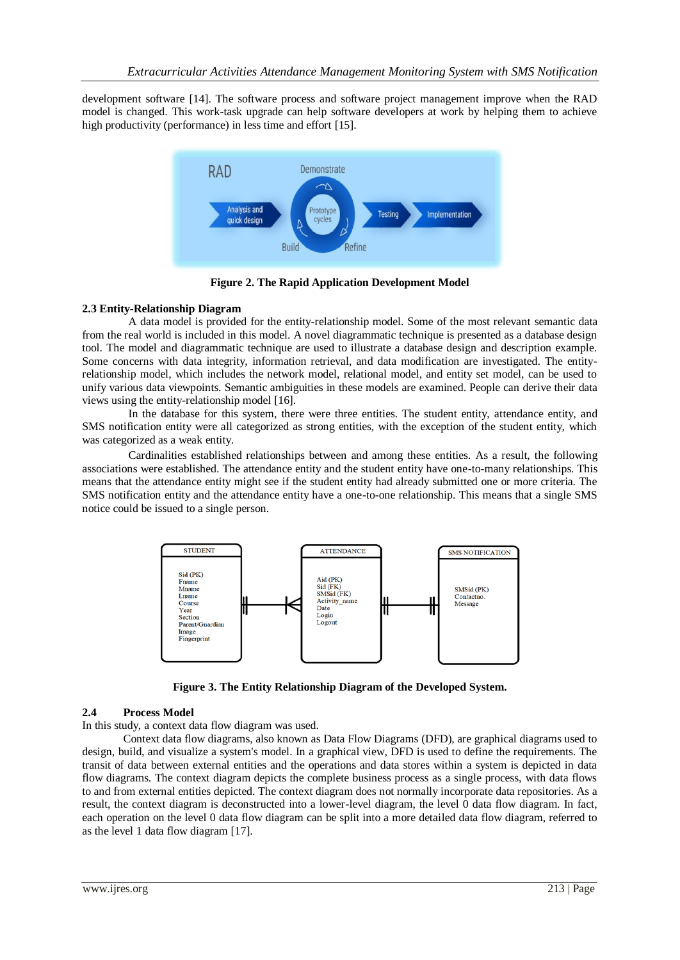development software [14]. The software process and software project management improve when the RAD model is changed. This work-task upgrade can help software developers at work by helping them to achieve high productivity (performance) in less time and effort [15].



**Figure 2. The Rapid Application Development Model**

## **2.3 Entity-Relationship Diagram**

A data model is provided for the entity-relationship model. Some of the most relevant semantic data from the real world is included in this model. A novel diagrammatic technique is presented as a database design tool. The model and diagrammatic technique are used to illustrate a database design and description example. Some concerns with data integrity, information retrieval, and data modification are investigated. The entityrelationship model, which includes the network model, relational model, and entity set model, can be used to unify various data viewpoints. Semantic ambiguities in these models are examined. People can derive their data views using the entity-relationship model [16].

In the database for this system, there were three entities. The student entity, attendance entity, and SMS notification entity were all categorized as strong entities, with the exception of the student entity, which was categorized as a weak entity.

Cardinalities established relationships between and among these entities. As a result, the following associations were established. The attendance entity and the student entity have one-to-many relationships. This means that the attendance entity might see if the student entity had already submitted one or more criteria. The SMS notification entity and the attendance entity have a one-to-one relationship. This means that a single SMS notice could be issued to a single person.



**Figure 3. The Entity Relationship Diagram of the Developed System.**

## **2.4 Process Model**

In this study, a context data flow diagram was used.

Context data flow diagrams, also known as Data Flow Diagrams (DFD), are graphical diagrams used to design, build, and visualize a system's model. In a graphical view, DFD is used to define the requirements. The transit of data between external entities and the operations and data stores within a system is depicted in data flow diagrams. The context diagram depicts the complete business process as a single process, with data flows to and from external entities depicted. The context diagram does not normally incorporate data repositories. As a result, the context diagram is deconstructed into a lower-level diagram, the level 0 data flow diagram. In fact, each operation on the level 0 data flow diagram can be split into a more detailed data flow diagram, referred to as the level 1 data flow diagram [17].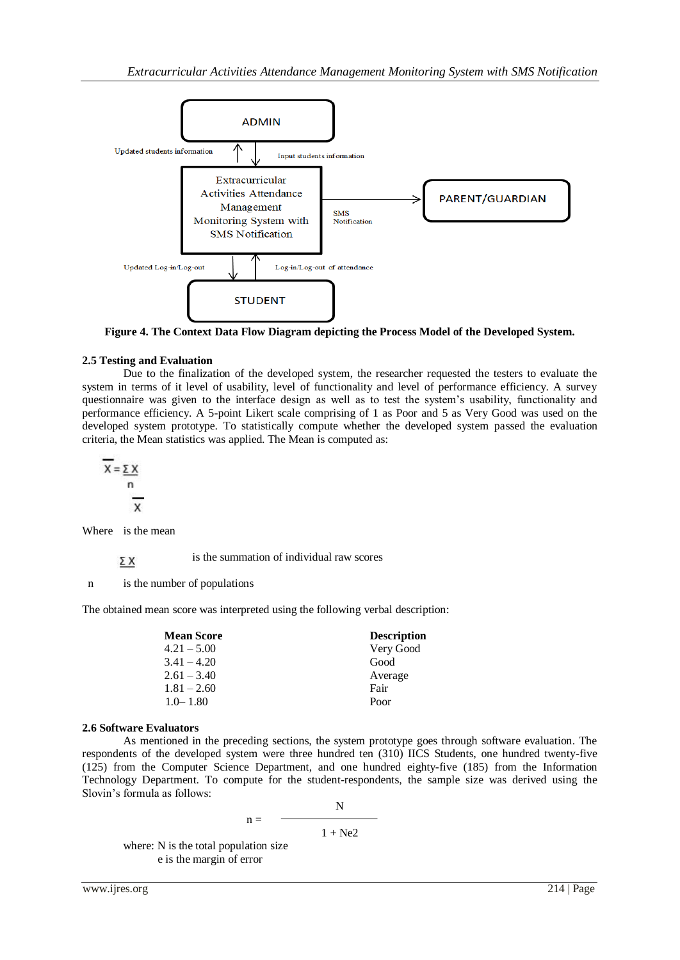

**Figure 4. The Context Data Flow Diagram depicting the Process Model of the Developed System.**

## **2.5 Testing and Evaluation**

Due to the finalization of the developed system, the researcher requested the testers to evaluate the system in terms of it level of usability, level of functionality and level of performance efficiency. A survey questionnaire was given to the interface design as well as to test the system's usability, functionality and performance efficiency. A 5-point Likert scale comprising of 1 as Poor and 5 as Very Good was used on the developed system prototype. To statistically compute whether the developed system passed the evaluation criteria, the Mean statistics was applied. The Mean is computed as:

$$
\frac{\overline{x}}{x} = \frac{\sum x}{n}
$$

Where is the mean

is the summation of individual raw scores ΣΧ

n is the number of populations

The obtained mean score was interpreted using the following verbal description:

| <b>Mean Score</b> | <b>Description</b> |
|-------------------|--------------------|
| $4.21 - 5.00$     | Very Good          |
| $3.41 - 4.20$     | Good               |
| $2.61 - 3.40$     | Average            |
| $1.81 - 2.60$     | Fair               |
| $1.0 - 1.80$      | Poor               |

## **2.6 Software Evaluators**

As mentioned in the preceding sections, the system prototype goes through software evaluation. The respondents of the developed system were three hundred ten (310) IICS Students, one hundred twenty-five (125) from the Computer Science Department, and one hundred eighty-five (185) from the Information Technology Department. To compute for the student-respondents, the sample size was derived using the Slovin's formula as follows:

$$
n = \frac{N}{1 + Ne2}
$$

where: N is the total population size e is the margin of error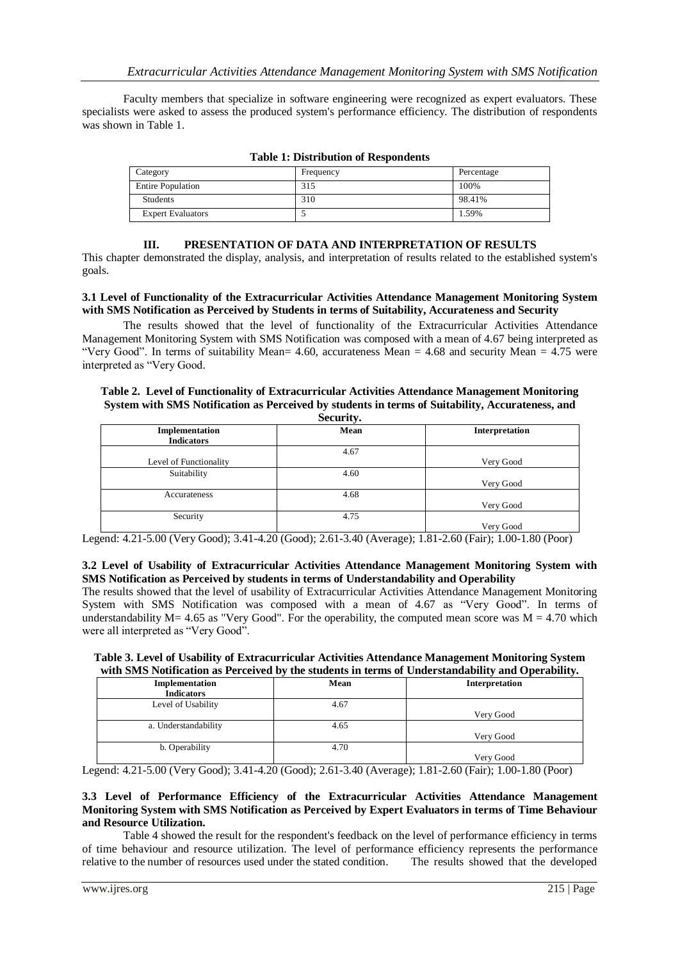Faculty members that specialize in software engineering were recognized as expert evaluators. These specialists were asked to assess the produced system's performance efficiency. The distribution of respondents was shown in Table 1.

| Category                 | Frequency | Percentage |
|--------------------------|-----------|------------|
| <b>Entire Population</b> | 315       | 100%       |
| Students                 | 310       | 98.41%     |
| <b>Expert Evaluators</b> |           | 1.59%      |

| <b>Table 1: Distribution of Respondents</b> |  |  |  |  |
|---------------------------------------------|--|--|--|--|
|                                             |  |  |  |  |

## **III. PRESENTATION OF DATA AND INTERPRETATION OF RESULTS**

This chapter demonstrated the display, analysis, and interpretation of results related to the established system's goals.

## **3.1 Level of Functionality of the Extracurricular Activities Attendance Management Monitoring System with SMS Notification as Perceived by Students in terms of Suitability, Accurateness and Security**

The results showed that the level of functionality of the Extracurricular Activities Attendance Management Monitoring System with SMS Notification was composed with a mean of 4.67 being interpreted as "Very Good". In terms of suitability Mean=  $4.60$ , accurateness Mean =  $4.68$  and security Mean =  $4.75$  were interpreted as "Very Good.

#### **Table 2. Level of Functionality of Extracurricular Activities Attendance Management Monitoring System with SMS Notification as Perceived by students in terms of Suitability, Accurateness, and Security.**

| $\text{S}\text{c}\text{c}\text{u}\text{iv}.$ |      |                |  |
|----------------------------------------------|------|----------------|--|
| Implementation                               | Mean | Interpretation |  |
| <b>Indicators</b>                            |      |                |  |
|                                              | 4.67 |                |  |
| Level of Functionality                       |      | Very Good      |  |
| Suitability                                  | 4.60 |                |  |
|                                              |      | Very Good      |  |
| Accurateness                                 | 4.68 |                |  |
|                                              |      | Very Good      |  |
| Security                                     | 4.75 |                |  |
|                                              |      | Very Good      |  |

Legend: 4.21-5.00 (Very Good); 3.41-4.20 (Good); 2.61-3.40 (Average); 1.81-2.60 (Fair); 1.00-1.80 (Poor)

#### **3.2 Level of Usability of Extracurricular Activities Attendance Management Monitoring System with SMS Notification as Perceived by students in terms of Understandability and Operability**

The results showed that the level of usability of Extracurricular Activities Attendance Management Monitoring System with SMS Notification was composed with a mean of 4.67 as "Very Good". In terms of understandability  $M = 4.65$  as "Very Good". For the operability, the computed mean score was  $M = 4.70$  which were all interpreted as "Very Good".

## **Table 3. Level of Usability of Extracurricular Activities Attendance Management Monitoring System with SMS Notification as Perceived by the students in terms of Understandability and Operability.**

| Implementation<br><b>Indicators</b> | Mean | Interpretation |
|-------------------------------------|------|----------------|
| Level of Usability                  | 4.67 |                |
|                                     |      | Very Good      |
| a. Understandability                | 4.65 |                |
|                                     |      | Very Good      |
| b. Operability                      | 4.70 |                |
|                                     |      | Very Good      |

Legend: 4.21-5.00 (Very Good); 3.41-4.20 (Good); 2.61-3.40 (Average); 1.81-2.60 (Fair); 1.00-1.80 (Poor)

## **3.3 Level of Performance Efficiency of the Extracurricular Activities Attendance Management Monitoring System with SMS Notification as Perceived by Expert Evaluators in terms of Time Behaviour and Resource Utilization.**

Table 4 showed the result for the respondent's feedback on the level of performance efficiency in terms of time behaviour and resource utilization. The level of performance efficiency represents the performance relative to the number of resources used under the stated condition. The results showed that the developed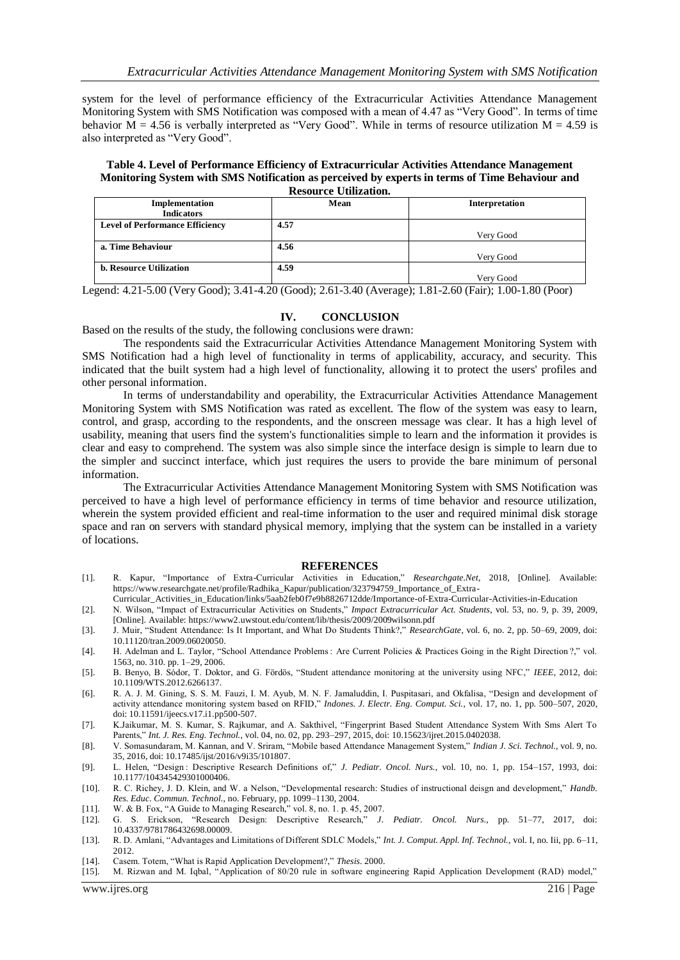system for the level of performance efficiency of the Extracurricular Activities Attendance Management Monitoring System with SMS Notification was composed with a mean of 4.47 as "Very Good". In terms of time behavior  $M = 4.56$  is verbally interpreted as "Very Good". While in terms of resource utilization  $M = 4.59$  is also interpreted as "Very Good".

**Table 4. Level of Performance Efficiency of Extracurricular Activities Attendance Management Monitoring System with SMS Notification as perceived by experts in terms of Time Behaviour and Resource Utilization.**

| would commandi                         |      |                |  |
|----------------------------------------|------|----------------|--|
| Implementation                         | Mean | Interpretation |  |
| <b>Indicators</b>                      |      |                |  |
| <b>Level of Performance Efficiency</b> | 4.57 |                |  |
|                                        |      | Very Good      |  |
| a. Time Behaviour                      | 4.56 |                |  |
|                                        |      | Very Good      |  |
| <b>b. Resource Utilization</b>         | 4.59 |                |  |
|                                        |      | Very Good      |  |

Legend: 4.21-5.00 (Very Good); 3.41-4.20 (Good); 2.61-3.40 (Average); 1.81-2.60 (Fair); 1.00-1.80 (Poor)

## **IV. CONCLUSION**

Based on the results of the study, the following conclusions were drawn:

The respondents said the Extracurricular Activities Attendance Management Monitoring System with SMS Notification had a high level of functionality in terms of applicability, accuracy, and security. This indicated that the built system had a high level of functionality, allowing it to protect the users' profiles and other personal information.

In terms of understandability and operability, the Extracurricular Activities Attendance Management Monitoring System with SMS Notification was rated as excellent. The flow of the system was easy to learn, control, and grasp, according to the respondents, and the onscreen message was clear. It has a high level of usability, meaning that users find the system's functionalities simple to learn and the information it provides is clear and easy to comprehend. The system was also simple since the interface design is simple to learn due to the simpler and succinct interface, which just requires the users to provide the bare minimum of personal information.

The Extracurricular Activities Attendance Management Monitoring System with SMS Notification was perceived to have a high level of performance efficiency in terms of time behavior and resource utilization, wherein the system provided efficient and real-time information to the user and required minimal disk storage space and ran on servers with standard physical memory, implying that the system can be installed in a variety of locations.

#### **REFERENCES**

- [1]. R. Kapur, "Importance of Extra-Curricular Activities in Education," *Researchgate.Net*, 2018, [Online]. Available: https://www.researchgate.net/profile/Radhika\_Kapur/publication/323794759\_Importance\_of\_Extra-
- Curricular\_Activities\_in\_Education/links/5aab2feb0f7e9b8826712dde/Importance-of-Extra-Curricular-Activities-in-Education
- [2]. N. Wilson, "Impact of Extracurricular Activities on Students," *Impact Extracurricular Act. Students*, vol. 53, no. 9, p. 39, 2009, [Online]. Available: https://www2.uwstout.edu/content/lib/thesis/2009/2009wilsonn.pdf
- [3]. J. Muir, "Student Attendance: Is It Important, and What Do Students Think?," *ResearchGate*, vol. 6, no. 2, pp. 50–69, 2009, doi: 10.11120/tran.2009.06020050.
- [4]. H. Adelman and L. Taylor, "School Attendance Problems : Are Current Policies & Practices Going in the Right Direction ?," vol. 1563, no. 310. pp. 1–29, 2006.
- [5]. B. Benyo, B. Sódor, T. Doktor, and G. Fördös, "Student attendance monitoring at the university using NFC," *IEEE*, 2012, doi: 10.1109/WTS.2012.6266137.
- [6]. R. A. J. M. Gining, S. S. M. Fauzi, I. M. Ayub, M. N. F. Jamaluddin, I. Puspitasari, and Okfalisa, "Design and development of activity attendance monitoring system based on RFID," *Indones. J. Electr. Eng. Comput. Sci.*, vol. 17, no. 1, pp. 500–507, 2020, doi: 10.11591/ijeecs.v17.i1.pp500-507.
- [7]. K.Jaikumar, M. S. Kumar, S. Rajkumar, and A. Sakthivel, "Fingerprint Based Student Attendance System With Sms Alert To Parents," *Int. J. Res. Eng. Technol.*, vol. 04, no. 02, pp. 293–297, 2015, doi: 10.15623/ijret.2015.0402038.
- [8]. V. Somasundaram, M. Kannan, and V. Sriram, "Mobile based Attendance Management System," *Indian J. Sci. Technol.*, vol. 9, no. 35, 2016, doi: 10.17485/ijst/2016/v9i35/101807.
- [9]. L. Helen, "Design : Descriptive Research Definitions of," *J. Pediatr. Oncol. Nurs.*, vol. 10, no. 1, pp. 154–157, 1993, doi: 10.1177/104345429301000406.
- [10]. R. C. Richey, J. D. Klein, and W. a Nelson, "Developmental research: Studies of instructional deisgn and development," *Handb. Res. Educ. Commun. Technol.*, no. February, pp. 1099–1130, 2004.
- [11]. W. & B. Fox, "A Guide to Managing Research," vol. 8, no. 1. p. 45, 2007.
- [12]. G. S. Erickson, "Research Design: Descriptive Research," *J. Pediatr. Oncol. Nurs.*, pp. 51–77, 2017, doi: 10.4337/9781786432698.00009.
- [13]. R. D. Amlani, "Advantages and Limitations of Different SDLC Models," *Int. J. Comput. Appl. Inf. Technol.*, vol. I, no. Iii, pp. 6–11, 2012.
- [14]. Casem. Totem, "What is Rapid Application Development?," *Thesis*. 2000.
- [15]. M. Rizwan and M. Iqbal, "Application of 80/20 rule in software engineering Rapid Application Development (RAD) model,"